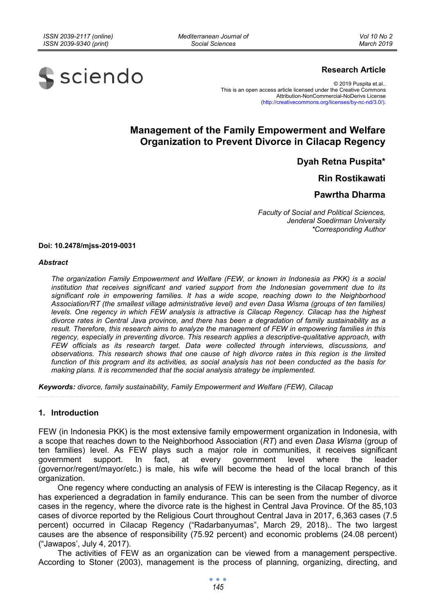*Mediterranean Journal of Social Sciences* 

*Vol 10 No 2 March 2019*



## **Research Article**

© 2019 Puspita et.al.. This is an open access article licensed under the Creative Commons Attribution-NonCommercial-NoDerivs License (http://creativecommons.org/licenses/by-nc-nd/3.0/).

# **Management of the Family Empowerment and Welfare Organization to Prevent Divorce in Cilacap Regency**

**Dyah Retna Puspita\*** 

**Rin Rostikawati** 

## **Pawrtha Dharma**

*Faculty of Social and Political Sciences, Jenderal Soedirman University \*Corresponding Author* 

**Doi: 10.2478/mjss-2019-0031** 

#### *Abstract*

*The organization Family Empowerment and Welfare (FEW, or known in Indonesia as PKK) is a social*  institution that receives significant and varied support from the Indonesian government due to its *significant role in empowering families. It has a wide scope, reaching down to the Neighborhood Association/RT (the smallest village administrative level) and even Dasa Wisma (groups of ten families) levels. One regency in which FEW analysis is attractive is Cilacap Regency. Cilacap has the highest divorce rates in Central Java province, and there has been a degradation of family sustainability as a result. Therefore, this research aims to analyze the management of FEW in empowering families in this regency, especially in preventing divorce. This research applies a descriptive-qualitative approach, with FEW officials as its research target. Data were collected through interviews, discussions, and observations. This research shows that one cause of high divorce rates in this region is the limited function of this program and its activities, as social analysis has not been conducted as the basis for making plans. It is recommended that the social analysis strategy be implemented.* 

*Keywords: divorce, family sustainability, Family Empowerment and Welfare (FEW), Cilacap* 

## **1. Introduction**

FEW (in Indonesia PKK) is the most extensive family empowerment organization in Indonesia, with a scope that reaches down to the Neighborhood Association (*RT*) and even *Dasa Wisma* (group of ten families) level. As FEW plays such a major role in communities, it receives significant government support. In fact, at every government level where the leader (governor/regent/mayor/etc.) is male, his wife will become the head of the local branch of this organization.

One regency where conducting an analysis of FEW is interesting is the Cilacap Regency, as it has experienced a degradation in family endurance. This can be seen from the number of divorce cases in the regency, where the divorce rate is the highest in Central Java Province. Of the 85,103 cases of divorce reported by the Religious Court throughout Central Java in 2017, 6,363 cases (7.5 percent) occurred in Cilacap Regency ("Radarbanyumas", March 29, 2018).. The two largest causes are the absence of responsibility (75.92 percent) and economic problems (24.08 percent) ("Jawapos', July 4, 2017).

The activities of FEW as an organization can be viewed from a management perspective. According to Stoner (2003), management is the process of planning, organizing, directing, and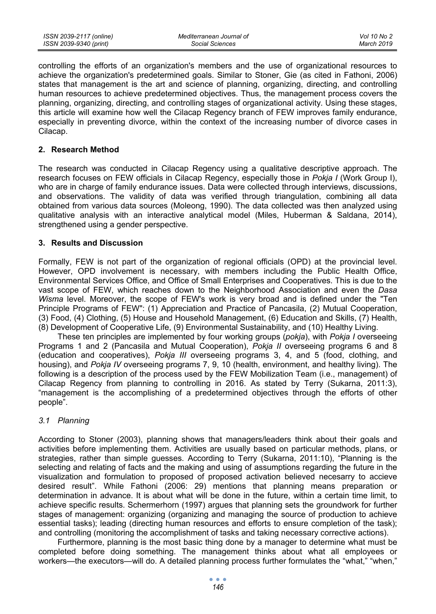controlling the efforts of an organization's members and the use of organizational resources to achieve the organization's predetermined goals. Similar to Stoner, Gie (as cited in Fathoni, 2006) states that management is the art and science of planning, organizing, directing, and controlling human resources to achieve predetermined objectives. Thus, the management process covers the planning, organizing, directing, and controlling stages of organizational activity. Using these stages, this article will examine how well the Cilacap Regency branch of FEW improves family endurance, especially in preventing divorce, within the context of the increasing number of divorce cases in Cilacap.

## **2. Research Method**

The research was conducted in Cilacap Regency using a qualitative descriptive approach. The research focuses on FEW officials in Cilacap Regency, especially those in *Pokja I* (Work Group I), who are in charge of family endurance issues. Data were collected through interviews, discussions, and observations. The validity of data was verified through triangulation, combining all data obtained from various data sources (Moleong, 1990). The data collected was then analyzed using qualitative analysis with an interactive analytical model (Miles, Huberman & Saldana, 2014), strengthened using a gender perspective.

## **3. Results and Discussion**

Formally, FEW is not part of the organization of regional officials (OPD) at the provincial level. However, OPD involvement is necessary, with members including the Public Health Office, Environmental Services Office, and Office of Small Enterprises and Cooperatives. This is due to the vast scope of FEW, which reaches down to the Neighborhood Association and even the *Dasa Wisma* level. Moreover, the scope of FEW's work is very broad and is defined under the "Ten Principle Programs of FEW": (1) Appreciation and Practice of Pancasila, (2) Mutual Cooperation, (3) Food, (4) Clothing, (5) House and Household Management, (6) Education and Skills, (7) Health, (8) Development of Cooperative Life, (9) Environmental Sustainability, and (10) Healthy Living.

These ten principles are implemented by four working groups (*pokja*), with *Pokja I* overseeing Programs 1 and 2 (Pancasila and Mutual Cooperation), *Pokja II* overseeing programs 6 and 8 (education and cooperatives), *Pokja III* overseeing programs 3, 4, and 5 (food, clothing, and housing), and *Pokja IV* overseeing programs 7, 9, 10 (health, environment, and healthy living). The following is a description of the process used by the FEW Mobilization Team (i.e., management) of Cilacap Regency from planning to controlling in 2016. As stated by Terry (Sukarna, 2011:3), "management is the accomplishing of a predetermined objectives through the efforts of other people".

## *3.1 Planning*

According to Stoner (2003), planning shows that managers/leaders think about their goals and activities before implementing them. Activities are usually based on particular methods, plans, or strategies, rather than simple guesses. According to Terry (Sukarna, 2011:10), "Planning is the selecting and relating of facts and the making and using of assumptions regarding the future in the visualization and formulation to proposed of proposed activation believed necesarry to accieve desired result". While Fathoni (2006: 29) mentions that planning means preparation or determination in advance. It is about what will be done in the future, within a certain time limit, to achieve specific results. Schermerhorn (1997) argues that planning sets the groundwork for further stages of management: organizing (organizing and managing the source of production to achieve essential tasks); leading (directing human resources and efforts to ensure completion of the task); and controlling (monitoring the accomplishment of tasks and taking necessary corrective actions).

Furthermore, planning is the most basic thing done by a manager to determine what must be completed before doing something. The management thinks about what all employees or workers—the executors—will do. A detailed planning process further formulates the "what," "when,"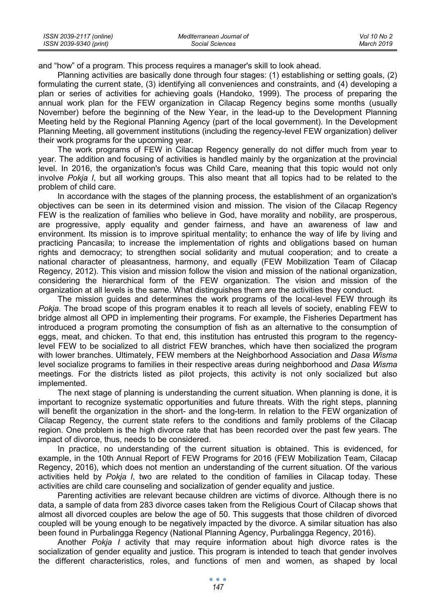| ISSN 2039-2117 (online) | Mediterranean Journal of | Vol 10 No 2 |
|-------------------------|--------------------------|-------------|
| ISSN 2039-9340 (print)  | Social Sciences          | March 2019  |

and "how" of a program. This process requires a manager's skill to look ahead.

Planning activities are basically done through four stages: (1) establishing or setting goals, (2) formulating the current state, (3) identifying all conveniences and constraints, and (4) developing a plan or series of activities for achieving goals (Handoko, 1999). The process of preparing the annual work plan for the FEW organization in Cilacap Regency begins some months (usually November) before the beginning of the New Year, in the lead-up to the Development Planning Meeting held by the Regional Planning Agency (part of the local government). In the Development Planning Meeting, all government institutions (including the regency-level FEW organization) deliver their work programs for the upcoming year.

The work programs of FEW in Cilacap Regency generally do not differ much from year to year. The addition and focusing of activities is handled mainly by the organization at the provincial level. In 2016, the organization's focus was Child Care, meaning that this topic would not only involve *Pokja I*, but all working groups. This also meant that all topics had to be related to the problem of child care.

In accordance with the stages of the planning process, the establishment of an organization's objectives can be seen in its determined vision and mission. The vision of the Cilacap Regency FEW is the realization of families who believe in God, have morality and nobility, are prosperous, are progressive, apply equality and gender fairness, and have an awareness of law and environment. Its mission is to improve spiritual mentality; to enhance the way of life by living and practicing Pancasila; to increase the implementation of rights and obligations based on human rights and democracy; to strengthen social solidarity and mutual cooperation; and to create a national character of pleasantness, harmony, and equally (FEW Mobilization Team of Cilacap Regency, 2012). This vision and mission follow the vision and mission of the national organization, considering the hierarchical form of the FEW organization. The vision and mission of the organization at all levels is the same. What distinguishes them are the activities they conduct.

The mission guides and determines the work programs of the local-level FEW through its *Pokja*. The broad scope of this program enables it to reach all levels of society, enabling FEW to bridge almost all OPD in implementing their programs. For example, the Fisheries Department has introduced a program promoting the consumption of fish as an alternative to the consumption of eggs, meat, and chicken. To that end, this institution has entrusted this program to the regencylevel FEW to be socialized to all district FEW branches, which have then socialized the program with lower branches. Ultimately, FEW members at the Neighborhood Association and *Dasa Wisma* level socialize programs to families in their respective areas during neighborhood and *Dasa Wisma* meetings*.* For the districts listed as pilot projects, this activity is not only socialized but also implemented.

The next stage of planning is understanding the current situation. When planning is done, it is important to recognize systematic opportunities and future threats. With the right steps, planning will benefit the organization in the short- and the long-term. In relation to the FEW organization of Cilacap Regency, the current state refers to the conditions and family problems of the Cilacap region. One problem is the high divorce rate that has been recorded over the past few years. The impact of divorce, thus, needs to be considered.

In practice, no understanding of the current situation is obtained. This is evidenced, for example, in the 10th Annual Report of FEW Programs for 2016 (FEW Mobilization Team, Cilacap Regency, 2016), which does not mention an understanding of the current situation. Of the various activities held by *Pokja I*, two are related to the condition of families in Cilacap today. These activities are child care counseling and socialization of gender equality and justice.

Parenting activities are relevant because children are victims of divorce. Although there is no data, a sample of data from 283 divorce cases taken from the Religious Court of Cilacap shows that almost all divorced couples are below the age of 50. This suggests that those children of divorced coupled will be young enough to be negatively impacted by the divorce. A similar situation has also been found in Purbalingga Regency (National Planning Agency, Purbalingga Regency, 2016).

Another *Pokja I* activity that may require information about high divorce rates is the socialization of gender equality and justice. This program is intended to teach that gender involves the different characteristics, roles, and functions of men and women, as shaped by local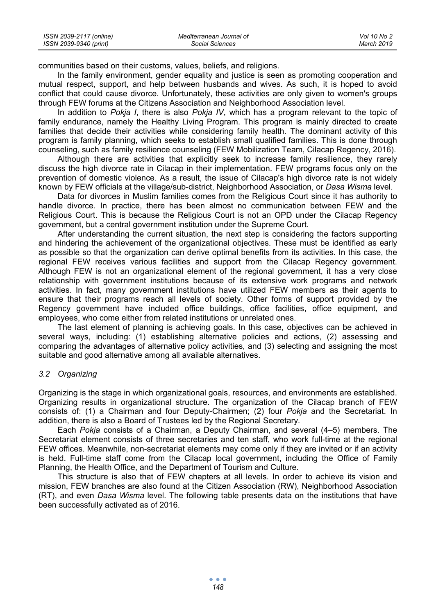| ISSN 2039-2117 (online) | Mediterranean Journal of | Vol 10 No 2 |
|-------------------------|--------------------------|-------------|
| ISSN 2039-9340 (print)  | Social Sciences          | March 2019  |

communities based on their customs, values, beliefs, and religions.

In the family environment, gender equality and justice is seen as promoting cooperation and mutual respect, support, and help between husbands and wives. As such, it is hoped to avoid conflict that could cause divorce. Unfortunately, these activities are only given to women's groups through FEW forums at the Citizens Association and Neighborhood Association level.

In addition to *Pokja I*, there is also *Pokja IV*, which has a program relevant to the topic of family endurance, namely the Healthy Living Program. This program is mainly directed to create families that decide their activities while considering family health. The dominant activity of this program is family planning, which seeks to establish small qualified families. This is done through counseling, such as family resilience counseling (FEW Mobilization Team, Cilacap Regency, 2016).

Although there are activities that explicitly seek to increase family resilience, they rarely discuss the high divorce rate in Cilacap in their implementation. FEW programs focus only on the prevention of domestic violence. As a result, the issue of Cilacap's high divorce rate is not widely known by FEW officials at the village/sub-district, Neighborhood Association, or *Dasa Wisma* level.

Data for divorces in Muslim families comes from the Religious Court since it has authority to handle divorce. In practice, there has been almost no communication between FEW and the Religious Court. This is because the Religious Court is not an OPD under the Cilacap Regency government, but a central government institution under the Supreme Court.

After understanding the current situation, the next step is considering the factors supporting and hindering the achievement of the organizational objectives. These must be identified as early as possible so that the organization can derive optimal benefits from its activities. In this case, the regional FEW receives various facilities and support from the Cilacap Regency government. Although FEW is not an organizational element of the regional government, it has a very close relationship with government institutions because of its extensive work programs and network activities. In fact, many government institutions have utilized FEW members as their agents to ensure that their programs reach all levels of society. Other forms of support provided by the Regency government have included office buildings, office facilities, office equipment, and employees, who come either from related institutions or unrelated ones.

The last element of planning is achieving goals. In this case, objectives can be achieved in several ways, including: (1) establishing alternative policies and actions, (2) assessing and comparing the advantages of alternative policy activities, and (3) selecting and assigning the most suitable and good alternative among all available alternatives.

### *3.2 Organizing*

Organizing is the stage in which organizational goals, resources, and environments are established. Organizing results in organizational structure. The organization of the Cilacap branch of FEW consists of: (1) a Chairman and four Deputy-Chairmen; (2) four *Pokja* and the Secretariat. In addition, there is also a Board of Trustees led by the Regional Secretary.

Each *Pokja* consists of a Chairman, a Deputy Chairman, and several (4–5) members. The Secretariat element consists of three secretaries and ten staff, who work full-time at the regional FEW offices. Meanwhile, non-secretariat elements may come only if they are invited or if an activity is held. Full-time staff come from the Cilacap local government, including the Office of Family Planning, the Health Office, and the Department of Tourism and Culture.

This structure is also that of FEW chapters at all levels. In order to achieve its vision and mission, FEW branches are also found at the Citizen Association (RW), Neighborhood Association (RT), and even *Dasa Wisma* level. The following table presents data on the institutions that have been successfully activated as of 2016.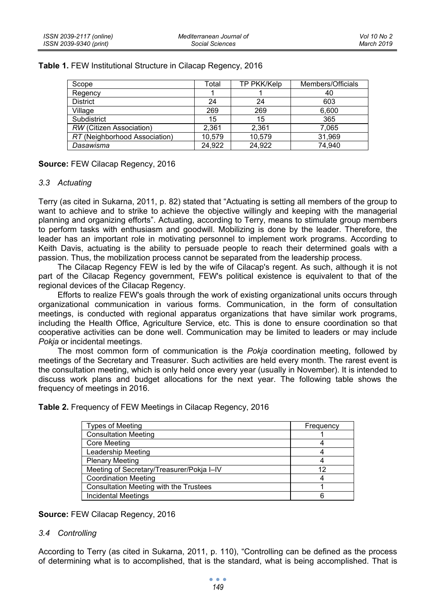| Scope                         | Total  | TP PKK/Kelp | Members/Officials |
|-------------------------------|--------|-------------|-------------------|
| Regency                       |        |             | 40                |
| <b>District</b>               | 24     | 24          | 603               |
| Village                       | 269    | 269         | 6.600             |
| Subdistrict                   | 15     | 15          | 365               |
| RW (Citizen Association)      | 2.361  | 2,361       | 7,065             |
| RT (Neighborhood Association) | 10.579 | 10.579      | 31.969            |
| Dasawisma                     | 24.922 | 24.922      | 74.940            |

## **Table 1.** FEW Institutional Structure in Cilacap Regency, 2016

**Source:** FEW Cilacap Regency, 2016

## *3.3 Actuating*

Terry (as cited in Sukarna, 2011, p. 82) stated that "Actuating is setting all members of the group to want to achieve and to strike to achieve the objective willingly and keeping with the managerial planning and organizing efforts". Actuating, according to Terry, means to stimulate group members to perform tasks with enthusiasm and goodwill. Mobilizing is done by the leader. Therefore, the leader has an important role in motivating personnel to implement work programs. According to Keith Davis, actuating is the ability to persuade people to reach their determined goals with a passion. Thus, the mobilization process cannot be separated from the leadership process.

The Cilacap Regency FEW is led by the wife of Cilacap's regent. As such, although it is not part of the Cilacap Regency government, FEW's political existence is equivalent to that of the regional devices of the Cilacap Regency.

Efforts to realize FEW's goals through the work of existing organizational units occurs through organizational communication in various forms. Communication, in the form of consultation meetings, is conducted with regional apparatus organizations that have similar work programs, including the Health Office, Agriculture Service, etc. This is done to ensure coordination so that cooperative activities can be done well. Communication may be limited to leaders or may include *Pokja* or incidental meetings.

The most common form of communication is the *Pokja* coordination meeting, followed by meetings of the Secretary and Treasurer. Such activities are held every month. The rarest event is the consultation meeting, which is only held once every year (usually in November). It is intended to discuss work plans and budget allocations for the next year. The following table shows the frequency of meetings in 2016.

**Table 2.** Frequency of FEW Meetings in Cilacap Regency, 2016

| Types of Meeting                          | Frequency |
|-------------------------------------------|-----------|
| <b>Consultation Meeting</b>               |           |
| <b>Core Meeting</b>                       |           |
| Leadership Meeting                        |           |
| <b>Plenary Meeting</b>                    |           |
| Meeting of Secretary/Treasurer/Pokja I-IV | 12        |
| <b>Coordination Meeting</b>               |           |
| Consultation Meeting with the Trustees    |           |
| <b>Incidental Meetings</b>                |           |

## **Source:** FEW Cilacap Regency, 2016

## *3.4 Controlling*

According to Terry (as cited in Sukarna, 2011, p. 110), "Controlling can be defined as the process of determining what is to accomplished, that is the standard, what is being accomplished. That is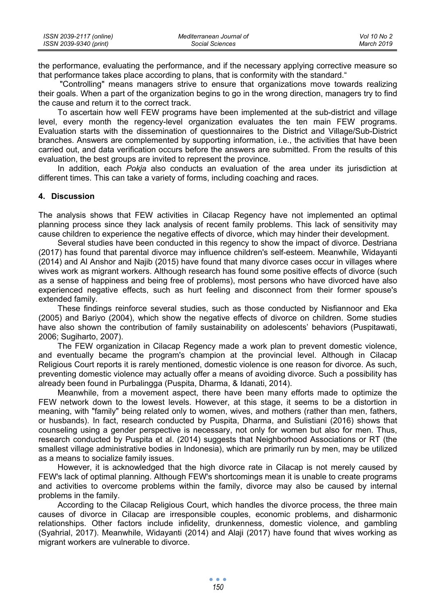| ISSN 2039-2117 (online) | Mediterranean Journal of | Vol 10 No 2 |
|-------------------------|--------------------------|-------------|
| ISSN 2039-9340 (print)  | Social Sciences          | March 2019  |

the performance, evaluating the performance, and if the necessary applying corrective measure so that performance takes place according to plans, that is conformity with the standard."

 "Controlling" means managers strive to ensure that organizations move towards realizing their goals. When a part of the organization begins to go in the wrong direction, managers try to find the cause and return it to the correct track.

To ascertain how well FEW programs have been implemented at the sub-district and village level, every month the regency-level organization evaluates the ten main FEW programs. Evaluation starts with the dissemination of questionnaires to the District and Village/Sub-District branches. Answers are complemented by supporting information, i.e., the activities that have been carried out, and data verification occurs before the answers are submitted. From the results of this evaluation, the best groups are invited to represent the province.

In addition, each *Pokja* also conducts an evaluation of the area under its jurisdiction at different times. This can take a variety of forms, including coaching and races.

## **4. Discussion**

The analysis shows that FEW activities in Cilacap Regency have not implemented an optimal planning process since they lack analysis of recent family problems. This lack of sensitivity may cause children to experience the negative effects of divorce, which may hinder their development.

Several studies have been conducted in this regency to show the impact of divorce. Destriana (2017) has found that parental divorce may influence children's self-esteem. Meanwhile, Widayanti (2014) and Al Anshor and Najib (2015) have found that many divorce cases occur in villages where wives work as migrant workers. Although research has found some positive effects of divorce (such as a sense of happiness and being free of problems), most persons who have divorced have also experienced negative effects, such as hurt feeling and disconnect from their former spouse's extended family.

These findings reinforce several studies, such as those conducted by Nisfiannoor and Eka (2005) and Bariyo (2004), which show the negative effects of divorce on children. Some studies have also shown the contribution of family sustainability on adolescents' behaviors (Puspitawati, 2006; Sugiharto, 2007).

The FEW organization in Cilacap Regency made a work plan to prevent domestic violence, and eventually became the program's champion at the provincial level. Although in Cilacap Religious Court reports it is rarely mentioned, domestic violence is one reason for divorce. As such, preventing domestic violence may actually offer a means of avoiding divorce. Such a possibility has already been found in Purbalingga (Puspita, Dharma, & Idanati, 2014).

Meanwhile, from a movement aspect, there have been many efforts made to optimize the FEW network down to the lowest levels. However, at this stage, it seems to be a distortion in meaning, with "family" being related only to women, wives, and mothers (rather than men, fathers, or husbands). In fact, research conducted by Puspita, Dharma, and Sulistiani (2016) shows that counseling using a gender perspective is necessary, not only for women but also for men. Thus, research conducted by Puspita et al. (2014) suggests that Neighborhood Associations or RT (the smallest village administrative bodies in Indonesia), which are primarily run by men, may be utilized as a means to socialize family issues.

However, it is acknowledged that the high divorce rate in Cilacap is not merely caused by FEW's lack of optimal planning. Although FEW's shortcomings mean it is unable to create programs and activities to overcome problems within the family, divorce may also be caused by internal problems in the family.

According to the Cilacap Religious Court, which handles the divorce process, the three main causes of divorce in Cilacap are irresponsible couples, economic problems, and disharmonic relationships. Other factors include infidelity, drunkenness, domestic violence, and gambling (Syahrial, 2017). Meanwhile, Widayanti (2014) and Alaji (2017) have found that wives working as migrant workers are vulnerable to divorce.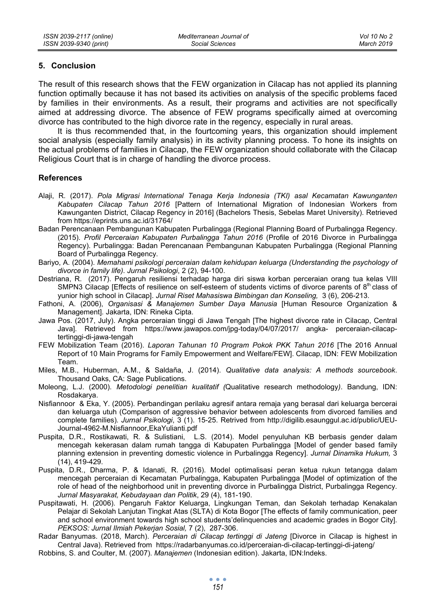## **5. Conclusion**

The result of this research shows that the FEW organization in Cilacap has not applied its planning function optimally because it has not based its activities on analysis of the specific problems faced by families in their environments. As a result, their programs and activities are not specifically aimed at addressing divorce. The absence of FEW programs specifically aimed at overcoming divorce has contributed to the high divorce rate in the regency, especially in rural areas.

It is thus recommended that, in the fourtcoming years, this organization should implement social analysis (especially family analysis) in its activity planning process. To hone its insights on the actual problems of families in Cilacap, the FEW organization should collaborate with the Cilacap Religious Court that is in charge of handling the divorce process.

## **References**

- Alaji, R. (2017). *Pola Migrasi International Tenaga Kerja Indonesia (TKI) asal Kecamatan Kawunganten Kabupaten Cilacap Tahun 2016* [Pattern of International Migration of Indonesian Workers from Kawunganten District, Cilacap Regency in 2016] (Bachelors Thesis, Sebelas Maret University). Retrieved from https://eprints.uns.ac.id/31764/
- Badan Perencanaan Pembangunan Kabupaten Purbalingga (Regional Planning Board of Purbalingga Regency. (2015). *Profil Perceraian Kabupaten Purbalingga Tahun 2016* (Profile of 2016 Divorce in Purbalingga Regency). Purbalingga: Badan Perencanaan Pembangunan Kabupaten Purbalingga (Regional Planning Board of Purbalingga Regency.
- Bariyo, A. (2004). *Memahami psikologi perceraian dalam kehidupan keluarga (Understanding the psychology of divorce in family life). Jurnal Psikologi*, 2 (2), 94-100.
- Destriana, R. (2017). Pengaruh resiliensi terhadap harga diri siswa korban perceraian orang tua kelas VIII SMPN3 Cilacap [Effects of resilience on self-esteem of students victims of divorce parents of  $8<sup>th</sup>$  class of yunior high school in Cilacap]. *Jurnal Riset Mahasiswa Bimbingan dan Konseling,* 3 (6), 206-213.
- Fathoni, A. (2006), *Organisasi & Manajemen Sumber Daya Manusia* [Human Resource Organization & Management]*.* Jakarta, IDN: Rineka Cipta.
- Jawa Pos. (2017, July). Angka perceraian tinggi di Jawa Tengah [The highest divorce rate in Cilacap, Central Java]. Retrieved from https://www.jawapos.com/jpg-today/04/07/2017/ angka- perceraian-cilacaptertinggi-di-jawa-tengah
- FEW Mobilization Team (2016). *Laporan Tahunan 10 Program Pokok PKK Tahun 2016* [The 2016 Annual Report of 10 Main Programs for Family Empowerment and Welfare/FEW]. Cilacap, IDN: FEW Mobilization Team.
- Miles, M.B., Huberman, A.M., & Saldaña, J. (2014). *Qualitative data analysis: A methods sourcebook*. Thousand Oaks, CA: Sage Publications.
- Moleong, L.J. (2000). *Metodologi penelitian kualitatif (*Qualitative research methodology*)*. Bandung, IDN: Rosdakarya.
- Nisfiannoor & Eka, Y. (2005). Perbandingan perilaku agresif antara remaja yang berasal dari keluarga bercerai dan keluarga utuh (Comparison of aggressive behavior between adolescents from divorced families and complete families)*. Jurnal Psikologi*, 3 (1). 15-25. Retrived from http://digilib.esaunggul.ac.id/public/UEU-Journal-4962-M.Nisfiannoor,EkaYulianti.pdf
- Puspita, D.R., Rostikawati, R. & Sulistiani, L.S. (2014). Model penyuluhan KB berbasis gender dalam mencegah kekerasan dalam rumah tangga di Kabupaten Purbalingga [Model of gender based family planning extension in preventing domestic violence in Purbalingga Regency]. *Jurnal Dinamika Hukum,* 3 (14), 419-429.
- Puspita, D.R., Dharma, P. & Idanati, R. (2016). Model optimalisasi peran ketua rukun tetangga dalam mencegah perceraian di Kecamatan Purbalingga, Kabupaten Purbalingga [Model of optimization of the role of head of the neighborhood unit in preventing divorce in Purbalingga District, Purbalingga Regency. *Jurnal Masyarakat, Kebudayaan dan Politik*, 29 (4), 181-190.
- Puspitawati, H. (2006). Pengaruh Faktor Keluarga, Lingkungan Teman, dan Sekolah terhadap Kenakalan Pelajar di Sekolah Lanjutan Tingkat Atas (SLTA) di Kota Bogor [The effects of family communication, peer and school environment towards high school students'delinquencies and academic grades in Bogor City]. *PEKSOS: Jurnal Ilmiah Pekerjan Sosial,* 7 (2), 287-306.
- Radar Banyumas. (2018, March). *Perceraian di Cilacap tertinggi di Jateng* [Divorce in Cilacap is highest in Central Java). Retrieved from https://radarbanyumas.co.id/perceraian-di-cilacap-tertinggi-di-jateng/
- Robbins, S. and Coulter, M. (2007). *Manajemen* (Indonesian edition). Jakarta, IDN:Indeks.